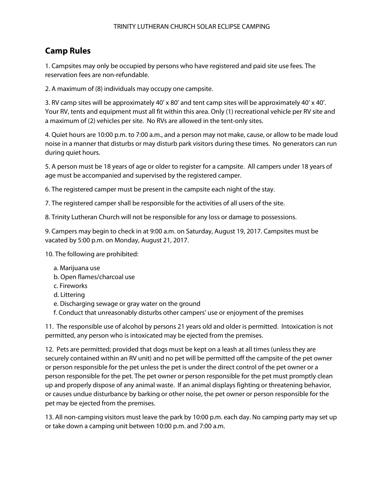## TRINITY LUTHERAN CHURCH SOLAR ECLIPSE CAMPING

## **Camp Rules**

1. Campsites may only be occupied by persons who have registered and paid site use fees. The reservation fees are non-refundable.

2. A maximum of (8) individuals may occupy one campsite.

3. RV camp sites will be approximately 40' x 80' and tent camp sites will be approximately 40' x 40'. Your RV, tents and equipment must all fit within this area. Only (1) recreational vehicle per RV site and a maximum of (2) vehicles per site. No RVs are allowed in the tent-only sites.

4. Quiet hours are 10:00 p.m. to 7:00 a.m., and a person may not make, cause, or allow to be made loud noise in a manner that disturbs or may disturb park visitors during these times. No generators can run during quiet hours.

5. A person must be 18 years of age or older to register for a campsite. All campers under 18 years of age must be accompanied and supervised by the registered camper.

6. The registered camper must be present in the campsite each night of the stay.

7. The registered camper shall be responsible for the activities of all users of the site.

8. Trinity Lutheran Church will not be responsible for any loss or damage to possessions.

9. Campers may begin to check in at 9:00 a.m. on Saturday, August 19, 2017. Campsites must be vacated by 5:00 p.m. on Monday, August 21, 2017.

10. The following are prohibited:

- a. Marijuana use
- b. Open flames/charcoal use
- c. Fireworks
- d. Littering
- e. Discharging sewage or gray water on the ground
- f. Conduct that unreasonably disturbs other campers' use or enjoyment of the premises

11. The responsible use of alcohol by persons 21 years old and older is permitted. Intoxication is not permitted, any person who is intoxicated may be ejected from the premises.

12. Pets are permitted; provided that dogs must be kept on a leash at all times (unless they are securely contained within an RV unit) and no pet will be permitted off the campsite of the pet owner or person responsible for the pet unless the pet is under the direct control of the pet owner or a person responsible for the pet. The pet owner or person responsible for the pet must promptly clean up and properly dispose of any animal waste. If an animal displays fighting or threatening behavior, or causes undue disturbance by barking or other noise, the pet owner or person responsible for the pet may be ejected from the premises.

13. All non-camping visitors must leave the park by 10:00 p.m. each day. No camping party may set up or take down a camping unit between 10:00 p.m. and 7:00 a.m.